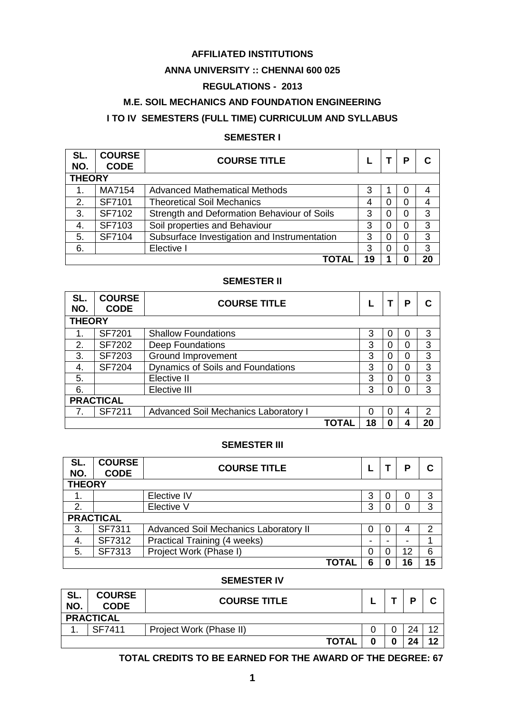### **AFFILIATED INSTITUTIONS**

### **ANNA UNIVERSITY :: CHENNAI 600 025**

### **REGULATIONS - 2013**

### **M.E. SOIL MECHANICS AND FOUNDATION ENGINEERING**

# **I TO IV SEMESTERS (FULL TIME) CURRICULUM AND SYLLABUS**

### **SEMESTER I**

| SL.<br>NO.    | <b>COURSE</b><br><b>CODE</b> | <b>COURSE TITLE</b>                          |    |   |   |    |
|---------------|------------------------------|----------------------------------------------|----|---|---|----|
| <b>THEORY</b> |                              |                                              |    |   |   |    |
| 1.            | MA7154                       | Advanced Mathematical Methods                | 3  |   | 0 |    |
| 2.            | SF7101                       | <b>Theoretical Soil Mechanics</b>            | 4  |   | 0 |    |
| 3.            | SF7102                       | Strength and Deformation Behaviour of Soils  | 3  | O | 0 | 3  |
| 4.            | SF7103                       | Soil properties and Behaviour                | 3  | O | 0 | 3  |
| 5.            | SF7104                       | Subsurface Investigation and Instrumentation | 3  |   | 0 | 3  |
| 6.            |                              | Elective I                                   | 3  |   | 0 | 3  |
|               |                              |                                              | 19 |   |   | 20 |

### **SEMESTER II**

| SL.<br>NO.       | <b>COURSE</b><br><b>CODE</b> | <b>COURSE TITLE</b>                         |              |    |   | Р |    |
|------------------|------------------------------|---------------------------------------------|--------------|----|---|---|----|
| <b>THEORY</b>    |                              |                                             |              |    |   |   |    |
| 1.               | SF7201                       | <b>Shallow Foundations</b>                  |              | 3  |   | O | 3  |
| 2.               | <b>SF7202</b>                | Deep Foundations                            |              | 3  |   | 0 | 3  |
| 3.               | <b>SF7203</b>                | <b>Ground Improvement</b>                   |              | 3  |   | 0 | 3  |
| 4.               | <b>SF7204</b>                | Dynamics of Soils and Foundations           |              | 3  |   | 0 | 3  |
| 5.               |                              | Elective II                                 |              | 3  |   | 0 | 3  |
| 6.               |                              | Elective III                                |              | 3  |   | 0 | 3  |
| <b>PRACTICAL</b> |                              |                                             |              |    |   |   |    |
|                  | SF7211                       | <b>Advanced Soil Mechanics Laboratory I</b> |              | O  | ∩ | 4 | 2  |
|                  |                              |                                             | <b>TOTAL</b> | 18 | 0 | 4 | 20 |

### **SEMESTER III**

| SL.<br>NO.       | <b>COURSE</b><br><b>CODE</b> | <b>COURSE TITLE</b>                   |              |   |   | Р  |    |
|------------------|------------------------------|---------------------------------------|--------------|---|---|----|----|
| <b>THEORY</b>    |                              |                                       |              |   |   |    |    |
|                  |                              | Elective IV                           |              | 3 | 0 | 0  | 3  |
| 2.               |                              | Elective V                            |              | 3 |   | 0  | 3  |
| <b>PRACTICAL</b> |                              |                                       |              |   |   |    |    |
| 3.               | SF7311                       | Advanced Soil Mechanics Laboratory II |              | 0 | 0 | 4  | 2  |
| 4.               | SF7312                       | <b>Practical Training (4 weeks)</b>   |              |   |   |    |    |
| 5.               | SF7313                       | Project Work (Phase I)                |              | 0 | 0 | 12 | 6  |
|                  |                              |                                       | <b>TOTAL</b> | 6 | 0 | 16 | 15 |

### **SEMESTER IV**

| SL.<br>NO. | <b>COURSE</b><br><b>CODE</b> | <b>COURSE TITLE</b>     |  | D  |          |
|------------|------------------------------|-------------------------|--|----|----------|
|            | <b>PRACTICAL</b>             |                         |  |    |          |
|            | SF7411                       | Project Work (Phase II) |  | 24 | $\Omega$ |
|            |                              | <b>TOTAL</b>            |  | つん | 12       |

### **TOTAL CREDITS TO BE EARNED FOR THE AWARD OF THE DEGREE: 67**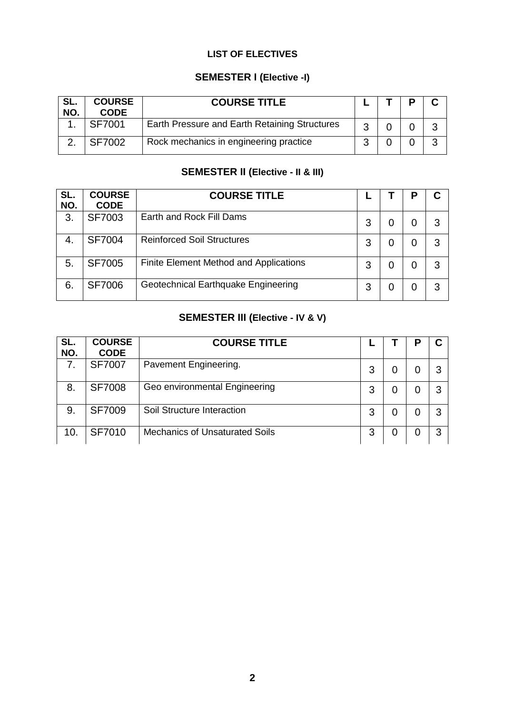# **LIST OF ELECTIVES**

# **SEMESTER I (Elective -I)**

| SL.<br>NO. | <b>COURSE</b><br><b>CODE</b> | <b>COURSE TITLE</b>                           |  |   |
|------------|------------------------------|-----------------------------------------------|--|---|
|            | <b>SF7001</b>                | Earth Pressure and Earth Retaining Structures |  |   |
|            | <b>SF7002</b>                | Rock mechanics in engineering practice        |  | າ |

# **SEMESTER II (Elective - II & III)**

| SL.<br>NO.     | <b>COURSE</b><br><b>CODE</b> | <b>COURSE TITLE</b>                    |   |   | Ρ |   |
|----------------|------------------------------|----------------------------------------|---|---|---|---|
| 3.             | <b>SF7003</b>                | Earth and Rock Fill Dams               | 3 |   |   | 3 |
| 4.             | <b>SF7004</b>                | <b>Reinforced Soil Structures</b>      | 3 | O | 0 | 3 |
| 5 <sub>1</sub> | <b>SF7005</b>                | Finite Element Method and Applications | 3 | 0 | 0 | З |
| 6.             | <b>SF7006</b>                | Geotechnical Earthquake Engineering    | 3 | 0 | 0 | З |

# **SEMESTER III (Elective - IV & V)**

| SL.<br>NO. | <b>COURSE</b><br><b>CODE</b> | <b>COURSE TITLE</b>                   |   | P |   |
|------------|------------------------------|---------------------------------------|---|---|---|
| 7.         | <b>SF7007</b>                | Pavement Engineering.                 | 3 | O | 3 |
| 8.         | <b>SF7008</b>                | Geo environmental Engineering         | 3 | 0 | 3 |
| 9.         | <b>SF7009</b>                | Soil Structure Interaction            | 3 | 0 | 3 |
| 10.        | <b>SF7010</b>                | <b>Mechanics of Unsaturated Soils</b> | 3 | 0 | 3 |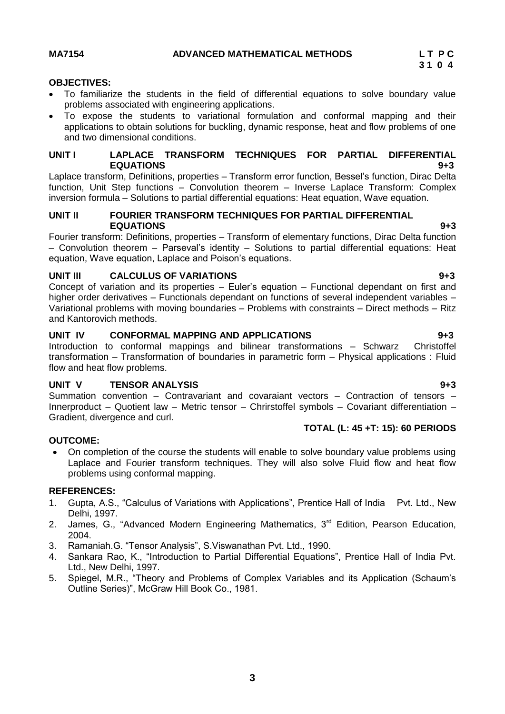### **MA7154 ADVANCED MATHEMATICAL METHODS L T P C**

### **OBJECTIVES:**

- To familiarize the students in the field of differential equations to solve boundary value problems associated with engineering applications.
- To expose the students to variational formulation and conformal mapping and their applications to obtain solutions for buckling, dynamic response, heat and flow problems of one and two dimensional conditions.

### **UNIT I LAPLACE TRANSFORM TECHNIQUES FOR PARTIAL DIFFERENTIAL EQUATIONS 9+3**

Laplace transform, Definitions, properties – Transform error function, Bessel's function, Dirac Delta function, Unit Step functions – Convolution theorem – Inverse Laplace Transform: Complex inversion formula – Solutions to partial differential equations: Heat equation, Wave equation.

### **UNIT II FOURIER TRANSFORM TECHNIQUES FOR PARTIAL DIFFERENTIAL EQUATIONS 9+3**

Fourier transform: Definitions, properties – Transform of elementary functions, Dirac Delta function – Convolution theorem – Parseval's identity – Solutions to partial differential equations: Heat equation, Wave equation, Laplace and Poison's equations.

### **UNIT III CALCULUS OF VARIATIONS 9+3**

Concept of variation and its properties – Euler's equation – Functional dependant on first and higher order derivatives – Functionals dependant on functions of several independent variables – Variational problems with moving boundaries – Problems with constraints – Direct methods – Ritz and Kantorovich methods.

### **UNIT IV CONFORMAL MAPPING AND APPLICATIONS 9+3**

Introduction to conformal mappings and bilinear transformations – Schwarz Christoffel transformation – Transformation of boundaries in parametric form – Physical applications : Fluid flow and heat flow problems.

### **UNIT V TENSOR ANALYSIS 9+3**

Summation convention – Contravariant and covaraiant vectors – Contraction of tensors – Innerproduct – Quotient law – Metric tensor – Chrirstoffel symbols – Covariant differentiation – Gradient, divergence and curl. **TOTAL (L: 45 +T: 15): 60 PERIODS**

### **OUTCOME:**

 On completion of the course the students will enable to solve boundary value problems using Laplace and Fourier transform techniques. They will also solve Fluid flow and heat flow problems using conformal mapping.

- 1. Gupta, A.S., "Calculus of Variations with Applications", Prentice Hall of India Pvt. Ltd., New Delhi, 1997.
- 2. James, G., "Advanced Modern Engineering Mathematics, 3<sup>rd</sup> Edition, Pearson Education, 2004.
- 3. Ramaniah.G. "Tensor Analysis", S.Viswanathan Pvt. Ltd., 1990.
- 4. Sankara Rao, K., "Introduction to Partial Differential Equations", Prentice Hall of India Pvt. Ltd., New Delhi, 1997.
- <span id="page-2-0"></span>5. Spiegel, M.R., "Theory and Problems of Complex Variables and its Application (Schaum's Outline Series)", McGraw Hill Book Co., 1981.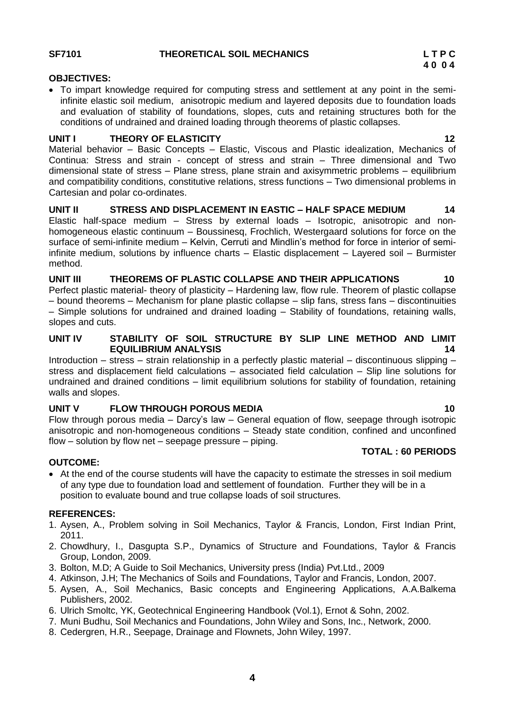### **SF7101 THEORETICAL SOIL MECHANICS L T P C**

### **OBJECTIVES:**

 To impart knowledge required for computing stress and settlement at any point in the semiinfinite elastic soil medium, anisotropic medium and layered deposits due to foundation loads and evaluation of stability of foundations, slopes, cuts and retaining structures both for the conditions of undrained and drained loading through theorems of plastic collapses.

### **UNIT I THEORY OF ELASTICITY** 12

Material behavior – Basic Concepts – Elastic, Viscous and Plastic idealization, Mechanics of Continua: Stress and strain - concept of stress and strain – Three dimensional and Two dimensional state of stress – Plane stress, plane strain and axisymmetric problems – equilibrium and compatibility conditions, constitutive relations, stress functions – Two dimensional problems in Cartesian and polar co-ordinates.

**UNIT II STRESS AND DISPLACEMENT IN EASTIC – HALF SPACE MEDIUM 14**  Elastic half-space medium – Stress by external loads – Isotropic, anisotropic and nonhomogeneous elastic continuum – Boussinesq, Frochlich, Westergaard solutions for force on the surface of semi-infinite medium – Kelvin, Cerruti and Mindlin's method for force in interior of semiinfinite medium, solutions by influence charts – Elastic displacement – Layered soil – Burmister method.

### **UNIT III THEOREMS OF PLASTIC COLLAPSE AND THEIR APPLICATIONS 10**

Perfect plastic material- theory of plasticity – Hardening law, flow rule. Theorem of plastic collapse – bound theorems – Mechanism for plane plastic collapse – slip fans, stress fans – discontinuities – Simple solutions for undrained and drained loading – Stability of foundations, retaining walls, slopes and cuts.

### **UNIT IV STABILITY OF SOIL STRUCTURE BY SLIP LINE METHOD AND LIMIT EQUILIBRIUM ANALYSIS 14**

Introduction – stress – strain relationship in a perfectly plastic material – discontinuous slipping – stress and displacement field calculations – associated field calculation – Slip line solutions for undrained and drained conditions – limit equilibrium solutions for stability of foundation, retaining walls and slopes.

### **UNIT V FLOW THROUGH POROUS MEDIA 10**

Flow through porous media – Darcy's law – General equation of flow, seepage through isotropic anisotropic and non-homogeneous conditions – Steady state condition, confined and unconfined flow – solution by flow net – seepage pressure – piping.

### **TOTAL : 60 PERIODS**

### **OUTCOME:**

 At the end of the course students will have the capacity to estimate the stresses in soil medium of any type due to foundation load and settlement of foundation. Further they will be in a position to evaluate bound and true collapse loads of soil structures.

- 1. Aysen, A., Problem solving in Soil Mechanics, Taylor & Francis, London, First Indian Print, 2011.
- 2. Chowdhury, I., Dasgupta S.P., Dynamics of Structure and Foundations, Taylor & Francis Group, London, 2009.
- 3. Bolton, M.D; A Guide to Soil Mechanics, University press (India) Pvt.Ltd., 2009
- 4. Atkinson, J.H; The Mechanics of Soils and Foundations, Taylor and Francis, London, 2007.
- 5. Aysen, A., Soil Mechanics, Basic concepts and Engineering Applications, A.A.Balkema Publishers, 2002.
- 6. Ulrich Smoltc, YK, Geotechnical Engineering Handbook (Vol.1), Ernot & Sohn, 2002.
- 7. Muni Budhu, Soil Mechanics and Foundations, John Wiley and Sons, Inc., Network, 2000.
- 8. Cedergren, H.R., Seepage, Drainage and Flownets, John Wiley, 1997.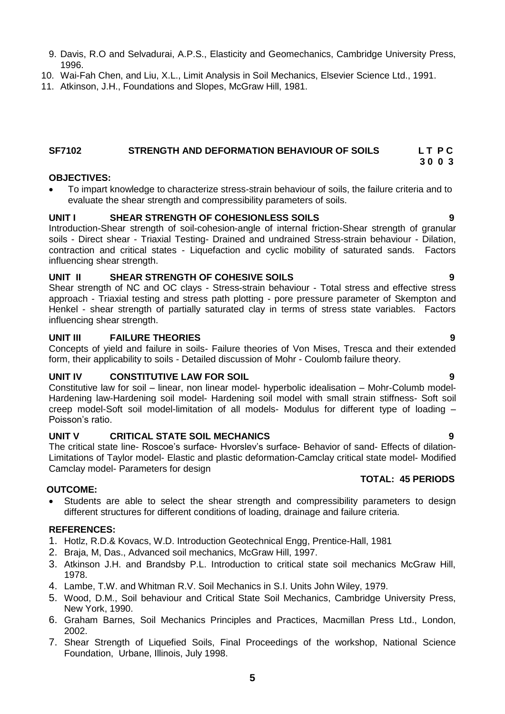- 
- 5. Wood, D.M., Soil behaviour and Critical State Soil Mechanics, Cambridge University Press,
- 6. Graham Barnes, Soil Mechanics Principles and Practices, Macmillan Press Ltd., London, 2002.
- 7. Shear Strength of Liquefied Soils, Final Proceedings of the workshop, National Science Foundation, Urbane, Illinois, July 1998.
- 9. Davis, R.O and Selvadurai, A.P.S., Elasticity and Geomechanics, Cambridge University Press, 1996.
- 10. Wai-Fah Chen, and Liu, X.L., Limit Analysis in Soil Mechanics, Elsevier Science Ltd., 1991.
- 11. Atkinson, J.H., Foundations and Slopes, McGraw Hill, 1981.

### <span id="page-4-0"></span>**SF7102 STRENGTH AND DEFORMATION BEHAVIOUR OF SOILS L T P C 3 0 0 3**

### **OBJECTIVES:**

 To impart knowledge to characterize stress-strain behaviour of soils, the failure criteria and to evaluate the shear strength and compressibility parameters of soils.

### **UNIT I SHEAR STRENGTH OF COHESIONLESS SOILS 9**

Introduction-Shear strength of soil-cohesion-angle of internal friction-Shear strength of granular soils - Direct shear - Triaxial Testing- Drained and undrained Stress-strain behaviour - Dilation, contraction and critical states - Liquefaction and cyclic mobility of saturated sands. Factors influencing shear strength.

### **UNIT II SHEAR STRENGTH OF COHESIVE SOILS 9**

Shear strength of NC and OC clays - Stress-strain behaviour - Total stress and effective stress approach - Triaxial testing and stress path plotting - pore pressure parameter of Skempton and Henkel - shear strength of partially saturated clay in terms of stress state variables. Factors influencing shear strength.

### **UNIT III FAILURE THEORIES 9**

Concepts of yield and failure in soils- Failure theories of Von Mises, Tresca and their extended form, their applicability to soils - Detailed discussion of Mohr - Coulomb failure theory.

### **UNIT IV CONSTITUTIVE LAW FOR SOIL 9**

Constitutive law for soil – linear, non linear model- hyperbolic idealisation – Mohr-Columb model-Hardening law-Hardening soil model- Hardening soil model with small strain stiffness- Soft soil creep model-Soft soil model-limitation of all models- Modulus for different type of loading – Poisson's ratio.

### **UNIT V CRITICAL STATE SOIL MECHANICS 9**

The critical state line- Roscoe's surface- Hvorslev's surface- Behavior of sand- Effects of dilation-Limitations of Taylor model- Elastic and plastic deformation-Camclay critical state model- Modified Camclay model- Parameters for design  **TOTAL: 45 PERIODS**

### **OUTCOME:**

 Students are able to select the shear strength and compressibility parameters to design different structures for different conditions of loading, drainage and failure criteria.

- 1. Hotlz, R.D.& Kovacs, W.D. Introduction Geotechnical Engg, Prentice-Hall, 1981
- 2. Braja, M, Das., Advanced soil mechanics, McGraw Hill, 1997.
- 3. Atkinson J.H. and Brandsby P.L. Introduction to critical state soil mechanics McGraw Hill, 1978.
	-
- 4. Lambe, T.W. and Whitman R.V. Soil Mechanics in S.I. Units John Wiley, 1979. New York, 1990.
-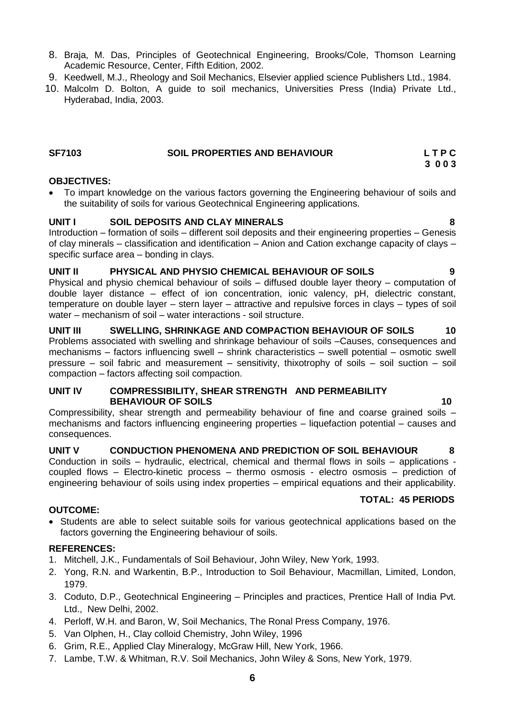- 8. Braja, M. Das, Principles of Geotechnical Engineering, Brooks/Cole, Thomson Learning Academic Resource, Center, Fifth Edition, 2002.
- 9. Keedwell, M.J., Rheology and Soil Mechanics, Elsevier applied science Publishers Ltd., 1984.
- 10. Malcolm D. Bolton, A guide to soil mechanics, Universities Press (India) Private Ltd., Hyderabad, India, 2003.

### <span id="page-5-0"></span>**SF7103 SOIL PROPERTIES AND BEHAVIOUR L T P C 3 0 0 3**

### **OBJECTIVES:**

 To impart knowledge on the various factors governing the Engineering behaviour of soils and the suitability of soils for various Geotechnical Engineering applications.

### **UNIT I SOIL DEPOSITS AND CLAY MINERALS 8**

Introduction – formation of soils – different soil deposits and their engineering properties – Genesis of clay minerals – classification and identification – Anion and Cation exchange capacity of clays – specific surface area – bonding in clays.

### **UNIT II PHYSICAL AND PHYSIO CHEMICAL BEHAVIOUR OF SOILS 9**

Physical and physio chemical behaviour of soils – diffused double layer theory – computation of double layer distance – effect of ion concentration, ionic valency, pH, dielectric constant, temperature on double layer – stern layer – attractive and repulsive forces in clays – types of soil water – mechanism of soil – water interactions - soil structure.

**UNIT III SWELLING, SHRINKAGE AND COMPACTION BEHAVIOUR OF SOILS 10** Problems associated with swelling and shrinkage behaviour of soils –Causes, consequences and mechanisms – factors influencing swell – shrink characteristics – swell potential – osmotic swell pressure – soil fabric and measurement – sensitivity, thixotrophy of soils – soil suction – soil compaction – factors affecting soil compaction.

### **UNIT IV COMPRESSIBILITY, SHEAR STRENGTH AND PERMEABILITY BEHAVIOUR OF SOILS 10**

Compressibility, shear strength and permeability behaviour of fine and coarse grained soils – mechanisms and factors influencing engineering properties – liquefaction potential – causes and consequences.

**UNIT V CONDUCTION PHENOMENA AND PREDICTION OF SOIL BEHAVIOUR 8** Conduction in soils – hydraulic, electrical, chemical and thermal flows in soils – applications coupled flows – Electro-kinetic process – thermo osmosis - electro osmosis – prediction of engineering behaviour of soils using index properties – empirical equations and their applicability.

### **TOTAL: 45 PERIODS**

### **OUTCOME:**

 Students are able to select suitable soils for various geotechnical applications based on the factors governing the Engineering behaviour of soils.

- 1. Mitchell, J.K., Fundamentals of Soil Behaviour, John Wiley, New York, 1993.
- 2. Yong, R.N. and Warkentin, B.P., Introduction to Soil Behaviour, Macmillan, Limited, London, 1979.
- 3. Coduto, D.P., Geotechnical Engineering Principles and practices, Prentice Hall of India Pvt. Ltd., New Delhi, 2002.
- 4. Perloff, W.H. and Baron, W, Soil Mechanics, The Ronal Press Company, 1976.
- 5. Van Olphen, H., Clay colloid Chemistry, John Wiley, 1996
- 6. Grim, R.E., Applied Clay Mineralogy, McGraw Hill, New York, 1966.
- 7. Lambe, T.W. & Whitman, R.V. Soil Mechanics, John Wiley & Sons, New York, 1979.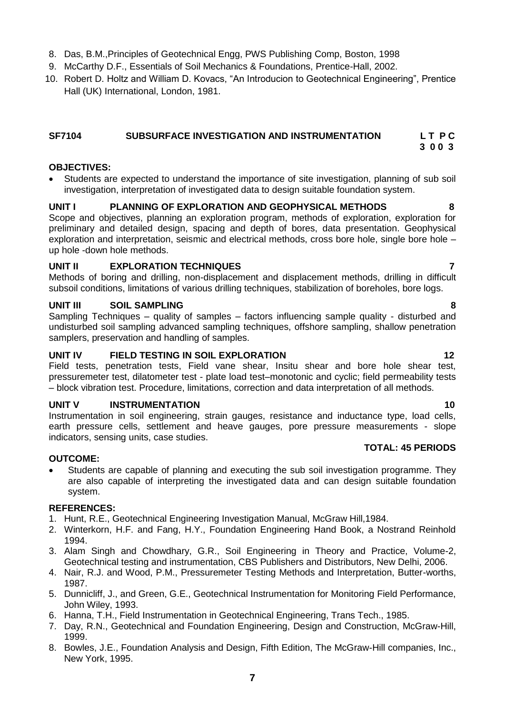- 8. Das, B.M.,Principles of Geotechnical Engg, PWS Publishing Comp, Boston, 1998
- 9. McCarthy D.F., Essentials of Soil Mechanics & Foundations, Prentice-Hall, 2002.
- 10. Robert D. Holtz and William D. Kovacs, "An Introducion to Geotechnical Engineering", Prentice Hall (UK) International, London, 1981.

### <span id="page-6-0"></span>**SF7104 SUBSURFACE INVESTIGATION AND INSTRUMENTATION L T P C 3 0 0 3**

### **OBJECTIVES:**

 Students are expected to understand the importance of site investigation, planning of sub soil investigation, interpretation of investigated data to design suitable foundation system.

### **UNIT I PLANNING OF EXPLORATION AND GEOPHYSICAL METHODS 8**

Scope and objectives, planning an exploration program, methods of exploration, exploration for preliminary and detailed design, spacing and depth of bores, data presentation. Geophysical exploration and interpretation, seismic and electrical methods, cross bore hole, single bore hole – up hole -down hole methods.

### **UNIT II EXPLORATION TECHNIQUES 7**

Methods of boring and drilling, non-displacement and displacement methods, drilling in difficult subsoil conditions, limitations of various drilling techniques, stabilization of boreholes, bore logs.

### **UNIT III SOIL SAMPLING 8**

Sampling Techniques – quality of samples – factors influencing sample quality - disturbed and undisturbed soil sampling advanced sampling techniques, offshore sampling, shallow penetration samplers, preservation and handling of samples.

### **UNIT IV FIELD TESTING IN SOIL EXPLORATION 12**

Field tests, penetration tests, Field vane shear, Insitu shear and bore hole shear test, pressuremeter test, dilatometer test - plate load test–monotonic and cyclic; field permeability tests – block vibration test. Procedure, limitations, correction and data interpretation of all methods.

### **UNIT V INSTRUMENTATION 10**

Instrumentation in soil engineering, strain gauges, resistance and inductance type, load cells, earth pressure cells, settlement and heave gauges, pore pressure measurements - slope indicators, sensing units, case studies.

### **OUTCOME:**

 Students are capable of planning and executing the sub soil investigation programme. They are also capable of interpreting the investigated data and can design suitable foundation system.

### **REFERENCES:**

- 1. Hunt, R.E., Geotechnical Engineering Investigation Manual, McGraw Hill,1984.
- 2. Winterkorn, H.F. and Fang, H.Y., Foundation Engineering Hand Book, a Nostrand Reinhold 1994.
- 3. Alam Singh and Chowdhary, G.R., Soil Engineering in Theory and Practice, Volume-2, Geotechnical testing and instrumentation, CBS Publishers and Distributors, New Delhi, 2006.
- 4. Nair, R.J. and Wood, P.M., Pressuremeter Testing Methods and Interpretation, Butter-worths, 1987.
- 5. Dunnicliff, J., and Green, G.E., Geotechnical Instrumentation for Monitoring Field Performance, John Wiley, 1993.
- 6. Hanna, T.H., Field Instrumentation in Geotechnical Engineering, Trans Tech., 1985.
- 7. Day, R.N., Geotechnical and Foundation Engineering, Design and Construction, McGraw-Hill, 1999.
- 8. Bowles, J.E., Foundation Analysis and Design, Fifth Edition, The McGraw-Hill companies, Inc., New York, 1995.

**TOTAL: 45 PERIODS**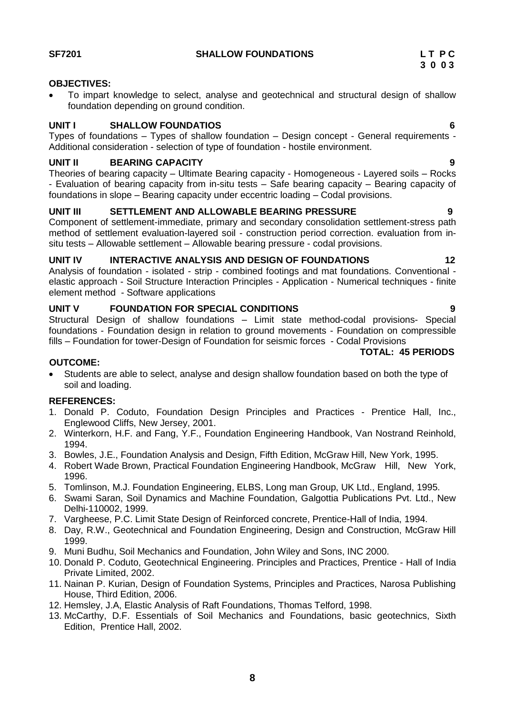<span id="page-7-0"></span>SF7201 SHALLOW FOUNDATIONS LTPC

### **OBJECTIVES:**

 To impart knowledge to select, analyse and geotechnical and structural design of shallow foundation depending on ground condition.

### **UNIT I SHALLOW FOUNDATIOS 6**

Types of foundations – Types of shallow foundation – Design concept - General requirements - Additional consideration - selection of type of foundation - hostile environment.

### **UNIT II BEARING CAPACITY 9**

Theories of bearing capacity – Ultimate Bearing capacity - Homogeneous - Layered soils – Rocks - Evaluation of bearing capacity from in-situ tests – Safe bearing capacity – Bearing capacity of foundations in slope – Bearing capacity under eccentric loading – Codal provisions.

### **UNIT III SETTLEMENT AND ALLOWABLE BEARING PRESSURE 9**

Component of settlement-immediate, primary and secondary consolidation settlement-stress path method of settlement evaluation-layered soil - construction period correction. evaluation from insitu tests – Allowable settlement – Allowable bearing pressure - codal provisions.

### UNIT IV INTERACTIVE ANALYSIS AND DESIGN OF FOUNDATIONS 12

Analysis of foundation - isolated - strip - combined footings and mat foundations. Conventional elastic approach - Soil Structure Interaction Principles - Application - Numerical techniques - finite element method - Software applications

### **UNIT V FOUNDATION FOR SPECIAL CONDITIONS 9**

Structural Design of shallow foundations – Limit state method-codal provisions- Special foundations - Foundation design in relation to ground movements - Foundation on compressible fills – Foundation for tower-Design of Foundation for seismic forces - Codal Provisions

### **TOTAL: 45 PERIODS**

### **OUTCOME:**

 Students are able to select, analyse and design shallow foundation based on both the type of soil and loading.

- 1. Donald P. Coduto, Foundation Design Principles and Practices Prentice Hall, Inc., Englewood Cliffs, New Jersey, 2001.
- 2. Winterkorn, H.F. and Fang, Y.F., Foundation Engineering Handbook, Van Nostrand Reinhold, 1994.
- 3. Bowles, J.E., Foundation Analysis and Design, Fifth Edition, McGraw Hill, New York, 1995.
- 4. Robert Wade Brown, Practical Foundation Engineering Handbook, McGraw Hill, New York, 1996.
- 5. Tomlinson, M.J. Foundation Engineering, ELBS, Long man Group, UK Ltd., England, 1995.
- 6. Swami Saran, Soil Dynamics and Machine Foundation, Galgottia Publications Pvt. Ltd., New Delhi-110002, 1999.
- 7. Vargheese, P.C. Limit State Design of Reinforced concrete, Prentice-Hall of India, 1994.
- 8. Day, R.W., Geotechnical and Foundation Engineering, Design and Construction, McGraw Hill 1999.
- 9. Muni Budhu, Soil Mechanics and Foundation, John Wiley and Sons, INC 2000.
- 10. Donald P. Coduto, Geotechnical Engineering. Principles and Practices, Prentice Hall of India Private Limited, 2002.
- 11. Nainan P. Kurian, Design of Foundation Systems, Principles and Practices, Narosa Publishing House, Third Edition, 2006.
- 12. Hemsley, J.A, Elastic Analysis of Raft Foundations, Thomas Telford, 1998.
- 13. McCarthy, D.F. Essentials of Soil Mechanics and Foundations, basic geotechnics, Sixth Edition, Prentice Hall, 2002.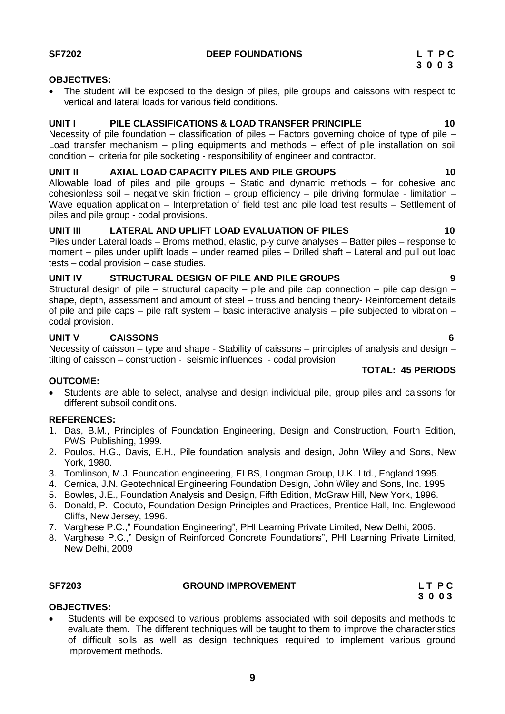### <span id="page-8-0"></span>**SF7202 DEEP FOUNDATIONS L T P C**

### **OBJECTIVES:**

 The student will be exposed to the design of piles, pile groups and caissons with respect to vertical and lateral loads for various field conditions.

### **UNIT I PILE CLASSIFICATIONS & LOAD TRANSFER PRINCIPLE 10**

Necessity of pile foundation – classification of piles – Factors governing choice of type of pile – Load transfer mechanism – piling equipments and methods – effect of pile installation on soil condition – criteria for pile socketing - responsibility of engineer and contractor.

### **UNIT II AXIAL LOAD CAPACITY PILES AND PILE GROUPS 10**

Allowable load of piles and pile groups – Static and dynamic methods – for cohesive and cohesionless soil – negative skin friction – group efficiency – pile driving formulae - limitation – Wave equation application – Interpretation of field test and pile load test results – Settlement of piles and pile group - codal provisions.

### **UNIT III LATERAL AND UPLIFT LOAD EVALUATION OF PILES 10**

Piles under Lateral loads – Broms method, elastic, p-y curve analyses – Batter piles – response to moment – piles under uplift loads – under reamed piles – Drilled shaft – Lateral and pull out load tests – codal provision – case studies.

### **UNIT IV STRUCTURAL DESIGN OF PILE AND PILE GROUPS 9**

Structural design of pile – structural capacity – pile and pile cap connection – pile cap design – shape, depth, assessment and amount of steel – truss and bending theory- Reinforcement details of pile and pile caps – pile raft system – basic interactive analysis – pile subjected to vibration – codal provision.

### **UNIT V CAISSONS 6**

Necessity of caisson – type and shape - Stability of caissons – principles of analysis and design – tilting of caisson – construction - seismic influences - codal provision.

### **OUTCOME:**

 Students are able to select, analyse and design individual pile, group piles and caissons for different subsoil conditions.

### **REFERENCES:**

- 1. Das, B.M., Principles of Foundation Engineering, Design and Construction, Fourth Edition, PWS Publishing, 1999.
- 2. Poulos, H.G., Davis, E.H., Pile foundation analysis and design, John Wiley and Sons, New York, 1980.
- 3. Tomlinson, M.J. Foundation engineering, ELBS, Longman Group, U.K. Ltd., England 1995.
- 4. Cernica, J.N. Geotechnical Engineering Foundation Design, John Wiley and Sons, Inc. 1995.
- 5. Bowles, J.E., Foundation Analysis and Design, Fifth Edition, McGraw Hill, New York, 1996.
- 6. Donald, P., Coduto, Foundation Design Principles and Practices, Prentice Hall, Inc. Englewood Cliffs, New Jersey, 1996.
- 7. Varghese P.C.," Foundation Engineering", PHI Learning Private Limited, New Delhi, 2005.
- 8. Varghese P.C.," Design of Reinforced Concrete Foundations", PHI Learning Private Limited, New Delhi, 2009

### <span id="page-8-1"></span>**SF7203 GROUND IMPROVEMENT L T P C**

 **3 0 0 3**

### **OBJECTIVES:**

 Students will be exposed to various problems associated with soil deposits and methods to evaluate them. The different techniques will be taught to them to improve the characteristics of difficult soils as well as design techniques required to implement various ground improvement methods.

**TOTAL: 45 PERIODS**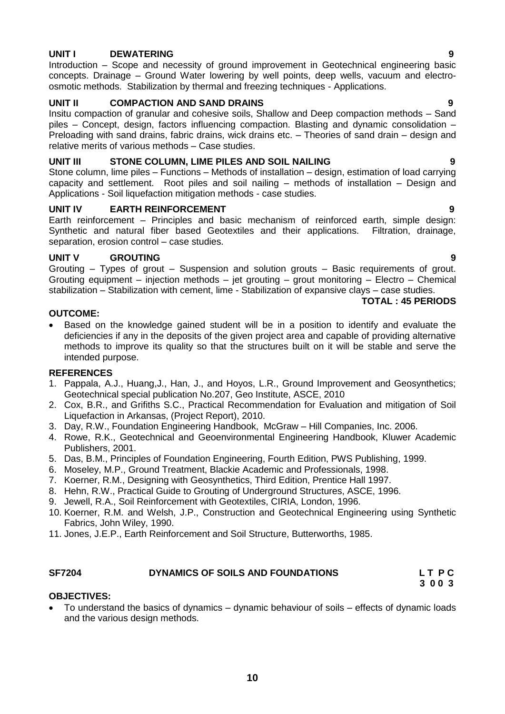### **UNIT I DEWATERING 9**

Introduction – Scope and necessity of ground improvement in Geotechnical engineering basic concepts. Drainage – Ground Water lowering by well points, deep wells, vacuum and electroosmotic methods. Stabilization by thermal and freezing techniques - Applications.

### **UNIT II COMPACTION AND SAND DRAINS 9**

Insitu compaction of granular and cohesive soils, Shallow and Deep compaction methods – Sand piles – Concept, design, factors influencing compaction. Blasting and dynamic consolidation – Preloading with sand drains, fabric drains, wick drains etc. – Theories of sand drain – design and relative merits of various methods – Case studies.

### **UNIT III STONE COLUMN, LIME PILES AND SOIL NAILING 9**

Stone column, lime piles – Functions – Methods of installation – design, estimation of load carrying capacity and settlement. Root piles and soil nailing – methods of installation – Design and Applications - Soil liquefaction mitigation methods - case studies.

### **UNIT IV EARTH REINFORCEMENT 9**

Earth reinforcement – Principles and basic mechanism of reinforced earth, simple design: Synthetic and natural fiber based Geotextiles and their applications. Filtration, drainage, separation, erosion control – case studies.

### **UNIT V GROUTING 9**

Grouting – Types of grout – Suspension and solution grouts – Basic requirements of grout. Grouting equipment – injection methods – jet grouting – grout monitoring – Electro – Chemical stabilization – Stabilization with cement, lime - Stabilization of expansive clays – case studies.

### **TOTAL : 45 PERIODS**

### **OUTCOME:**

 Based on the knowledge gained student will be in a position to identify and evaluate the deficiencies if any in the deposits of the given project area and capable of providing alternative methods to improve its quality so that the structures built on it will be stable and serve the intended purpose.

### **REFERENCES**

- 1. Pappala, A.J., Huang,J., Han, J., and Hoyos, L.R., Ground Improvement and Geosynthetics; Geotechnical special publication No.207, Geo Institute, ASCE, 2010
- 2. Cox, B.R., and Grifiths S.C., Practical Recommendation for Evaluation and mitigation of Soil Liquefaction in Arkansas, (Project Report), 2010.
- 3. Day, R.W., Foundation Engineering Handbook, McGraw Hill Companies, Inc. 2006.
- 4. Rowe, R.K., Geotechnical and Geoenvironmental Engineering Handbook, Kluwer Academic Publishers, 2001.
- 5. Das, B.M., Principles of Foundation Engineering, Fourth Edition, PWS Publishing, 1999.
- 6. Moseley, M.P., Ground Treatment, Blackie Academic and Professionals, 1998.
- 7. Koerner, R.M., Designing with Geosynthetics, Third Edition, Prentice Hall 1997.
- 8. Hehn, R.W., Practical Guide to Grouting of Underground Structures, ASCE, 1996.
- 9. Jewell, R.A., Soil Reinforcement with Geotextiles, CIRIA, London, 1996.
- 10. Koerner, R.M. and Welsh, J.P., Construction and Geotechnical Engineering using Synthetic Fabrics, John Wiley, 1990.
- 11. Jones, J.E.P., Earth Reinforcement and Soil Structure, Butterworths, 1985.

### SF7204 DYNAMICS OF SOILS AND FOUNDATIONS LTPC

<span id="page-9-0"></span> **3 0 0 3**

### **OBJECTIVES:**

 To understand the basics of dynamics – dynamic behaviour of soils – effects of dynamic loads and the various design methods.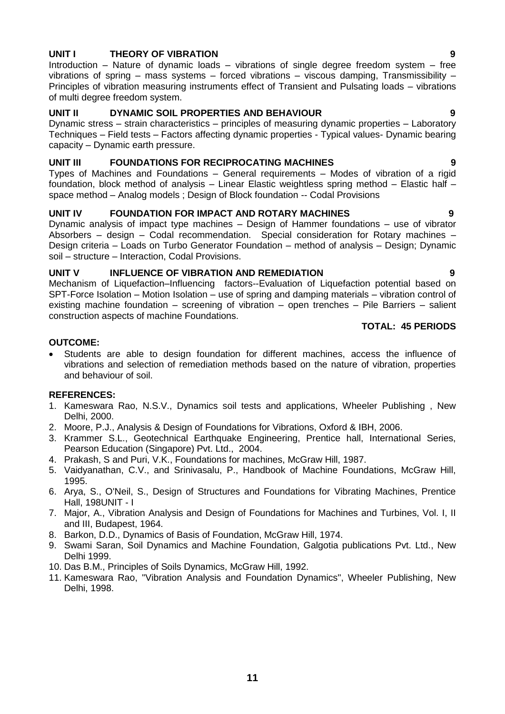### **UNIT I THEORY OF VIBRATION 9**

Introduction – Nature of dynamic loads – vibrations of single degree freedom system – free vibrations of spring – mass systems – forced vibrations – viscous damping, Transmissibility – Principles of vibration measuring instruments effect of Transient and Pulsating loads – vibrations of multi degree freedom system.

### **UNIT II DYNAMIC SOIL PROPERTIES AND BEHAVIOUR 9**

Dynamic stress – strain characteristics – principles of measuring dynamic properties – Laboratory Techniques – Field tests – Factors affecting dynamic properties - Typical values- Dynamic bearing capacity – Dynamic earth pressure.

### **UNIT III FOUNDATIONS FOR RECIPROCATING MACHINES 9**

Types of Machines and Foundations – General requirements – Modes of vibration of a rigid foundation, block method of analysis – Linear Elastic weightless spring method – Elastic half – space method – Analog models ; Design of Block foundation -- Codal Provisions

### **UNIT IV FOUNDATION FOR IMPACT AND ROTARY MACHINES 9**

Dynamic analysis of impact type machines – Design of Hammer foundations – use of vibrator Absorbers – design – Codal recommendation. Special consideration for Rotary machines – Design criteria – Loads on Turbo Generator Foundation – method of analysis – Design; Dynamic soil – structure – Interaction, Codal Provisions.

### **UNIT V INFLUENCE OF VIBRATION AND REMEDIATION 9**

Mechanism of Liquefaction–Influencing factors--Evaluation of Liquefaction potential based on SPT-Force Isolation – Motion Isolation – use of spring and damping materials – vibration control of existing machine foundation – screening of vibration – open trenches – Pile Barriers – salient construction aspects of machine Foundations.

### **TOTAL: 45 PERIODS**

### **OUTCOME:**

 Students are able to design foundation for different machines, access the influence of vibrations and selection of remediation methods based on the nature of vibration, properties and behaviour of soil.

- 1. Kameswara Rao, N.S.V., Dynamics soil tests and applications, Wheeler Publishing , New Delhi, 2000.
- 2. Moore, P.J., Analysis & Design of Foundations for Vibrations, Oxford & IBH, 2006.
- 3. Krammer S.L., Geotechnical Earthquake Engineering, Prentice hall, International Series, Pearson Education (Singapore) Pvt. Ltd., 2004.
- 4. Prakash, S and Puri, V.K., Foundations for machines, McGraw Hill, 1987.
- 5. Vaidyanathan, C.V., and Srinivasalu, P., Handbook of Machine Foundations, McGraw Hill, 1995.
- 6. Arya, S., O'Neil, S., Design of Structures and Foundations for Vibrating Machines, Prentice Hall, 198UNIT - I
- 7. Major, A., Vibration Analysis and Design of Foundations for Machines and Turbines, Vol. I, II and III, Budapest, 1964.
- 8. Barkon, D.D., Dynamics of Basis of Foundation, McGraw Hill, 1974.
- 9. Swami Saran, Soil Dynamics and Machine Foundation, Galgotia publications Pvt. Ltd., New Delhi 1999.
- 10. Das B.M., Principles of Soils Dynamics, McGraw Hill, 1992.
- 11. Kameswara Rao, "Vibration Analysis and Foundation Dynamics", Wheeler Publishing, New Delhi, 1998.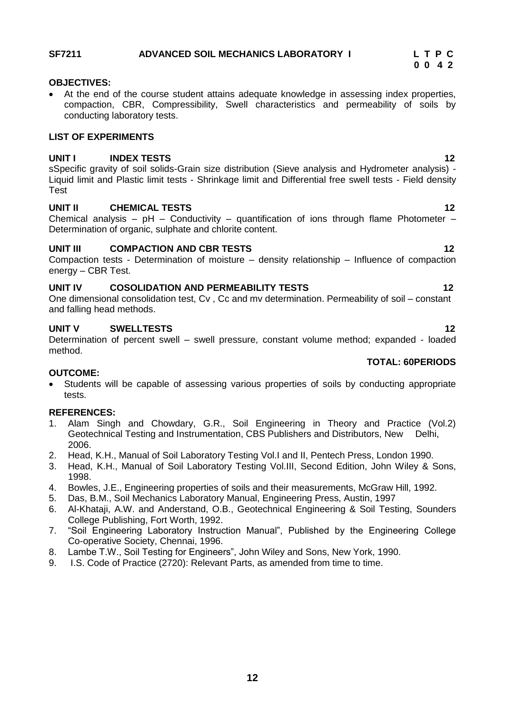# <span id="page-11-0"></span>**SF7211 ADVANCED SOIL MECHANICS LABORATORY I L T P C**

### **OBJECTIVES:**

 At the end of the course student attains adequate knowledge in assessing index properties, compaction, CBR, Compressibility, Swell characteristics and permeability of soils by conducting laboratory tests.

### **LIST OF EXPERIMENTS**

### **UNIT I INDEX TESTS 12**

sSpecific gravity of soil solids-Grain size distribution (Sieve analysis and Hydrometer analysis) - Liquid limit and Plastic limit tests - Shrinkage limit and Differential free swell tests - Field density Test

### **UNIT II CHEMICAL TESTS 12**

Chemical analysis –  $pH - Conductivity - quantification of ions through flame Photometer -$ Determination of organic, sulphate and chlorite content.

### **UNIT III COMPACTION AND CBR TESTS 12**

Compaction tests - Determination of moisture – density relationship – Influence of compaction energy – CBR Test.

### **UNIT IV COSOLIDATION AND PERMEABILITY TESTS 12**

One dimensional consolidation test, Cv , Cc and mv determination. Permeability of soil – constant and falling head methods.

### **UNIT V SWELLTESTS 12**

Determination of percent swell – swell pressure, constant volume method; expanded - loaded method.

### **TOTAL: 60PERIODS**

### **OUTCOME:**

 Students will be capable of assessing various properties of soils by conducting appropriate tests.

- 1. Alam Singh and Chowdary, G.R., Soil Engineering in Theory and Practice (Vol.2) Geotechnical Testing and Instrumentation, CBS Publishers and Distributors, New Delhi, 2006.
- 2. Head, K.H., Manual of Soil Laboratory Testing Vol.I and II, Pentech Press, London 1990.
- 3. Head, K.H., Manual of Soil Laboratory Testing Vol.III, Second Edition, John Wiley & Sons, 1998.
- 4. Bowles, J.E., Engineering properties of soils and their measurements, McGraw Hill, 1992.
- 5. Das, B.M., Soil Mechanics Laboratory Manual, Engineering Press, Austin, 1997
- 6. Al-Khataji, A.W. and Anderstand, O.B., Geotechnical Engineering & Soil Testing, Sounders College Publishing, Fort Worth, 1992.
- 7. "Soil Engineering Laboratory Instruction Manual", Published by the Engineering College Co-operative Society, Chennai, 1996.
- 8. Lambe T.W., Soil Testing for Engineers", John Wiley and Sons, New York, 1990.
- 9. I.S. Code of Practice (2720): Relevant Parts, as amended from time to time.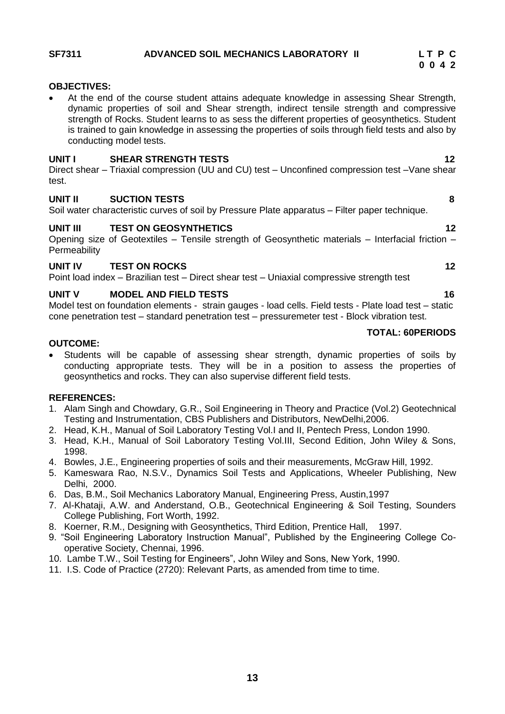### <span id="page-12-0"></span>SF7311 ADVANCED SOIL MECHANICS LABORATORY II LTPC

### **OBJECTIVES:**

 At the end of the course student attains adequate knowledge in assessing Shear Strength, dynamic properties of soil and Shear strength, indirect tensile strength and compressive strength of Rocks. Student learns to as sess the different properties of geosynthetics. Student is trained to gain knowledge in assessing the properties of soils through field tests and also by conducting model tests.

### **UNIT I SHEAR STRENGTH TESTS 12**

Direct shear – Triaxial compression (UU and CU) test – Unconfined compression test –Vane shear test.

### **UNIT II SUCTION TESTS 8**

Soil water characteristic curves of soil by Pressure Plate apparatus – Filter paper technique.

### **UNIT III TEST ON GEOSYNTHETICS 12**

Opening size of Geotextiles – Tensile strength of Geosynthetic materials – Interfacial friction – **Permeability** 

### **UNIT IV TEST ON ROCKS 12**

Point load index – Brazilian test – Direct shear test – Uniaxial compressive strength test

### **UNIT V MODEL AND FIELD TESTS 16**

Model test on foundation elements - strain gauges - load cells. Field tests - Plate load test – static cone penetration test – standard penetration test – pressuremeter test - Block vibration test.

### **OUTCOME:**

 Students will be capable of assessing shear strength, dynamic properties of soils by conducting appropriate tests. They will be in a position to assess the properties of geosynthetics and rocks. They can also supervise different field tests.

### **REFERENCES:**

- 1. Alam Singh and Chowdary, G.R., Soil Engineering in Theory and Practice (Vol.2) Geotechnical Testing and Instrumentation, CBS Publishers and Distributors, NewDelhi,2006.
- 2. Head, K.H., Manual of Soil Laboratory Testing Vol.I and II, Pentech Press, London 1990.
- 3. Head, K.H., Manual of Soil Laboratory Testing Vol.III, Second Edition, John Wiley & Sons, 1998.
- 4. Bowles, J.E., Engineering properties of soils and their measurements, McGraw Hill, 1992.
- 5. Kameswara Rao, N.S.V., Dynamics Soil Tests and Applications, Wheeler Publishing, New Delhi, 2000.
- 6. Das, B.M., Soil Mechanics Laboratory Manual, Engineering Press, Austin,1997
- 7. Al-Khataji, A.W. and Anderstand, O.B., Geotechnical Engineering & Soil Testing, Sounders College Publishing, Fort Worth, 1992.
- 8. Koerner, R.M., Designing with Geosynthetics, Third Edition, Prentice Hall, 1997.
- 9. "Soil Engineering Laboratory Instruction Manual", Published by the Engineering College Cooperative Society, Chennai, 1996.
- 10. Lambe T.W., Soil Testing for Engineers", John Wiley and Sons, New York, 1990.
- 11. I.S. Code of Practice (2720): Relevant Parts, as amended from time to time.

**TOTAL: 60PERIODS**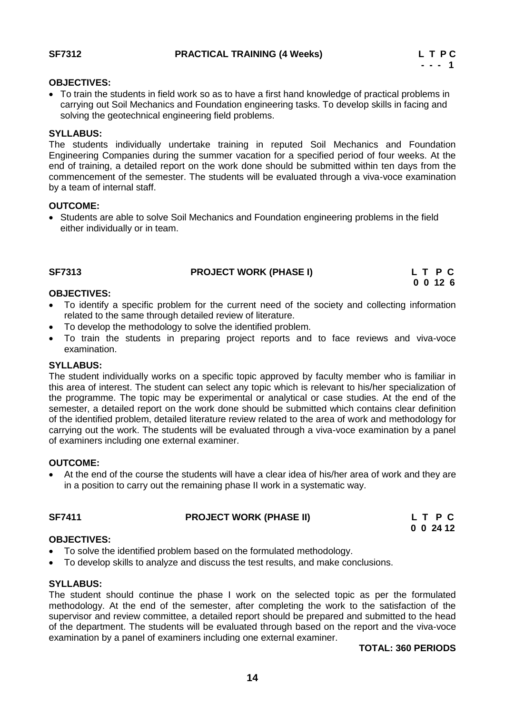### **OBJECTIVES:**

 To train the students in field work so as to have a first hand knowledge of practical problems in carrying out Soil Mechanics and Foundation engineering tasks. To develop skills in facing and solving the geotechnical engineering field problems.

### **SYLLABUS:**

The students individually undertake training in reputed Soil Mechanics and Foundation Engineering Companies during the summer vacation for a specified period of four weeks. At the end of training, a detailed report on the work done should be submitted within ten days from the commencement of the semester. The students will be evaluated through a viva-voce examination by a team of internal staff.

### **OUTCOME:**

 Students are able to solve Soil Mechanics and Foundation engineering problems in the field either individually or in team.

| <b>SF7313</b> | <b>PROJECT WORK (PHASE I)</b> | L T P C  |
|---------------|-------------------------------|----------|
|               |                               | 0 0 12 6 |

### **OBJECTIVES:**

- To identify a specific problem for the current need of the society and collecting information related to the same through detailed review of literature.
- To develop the methodology to solve the identified problem.
- To train the students in preparing project reports and to face reviews and viva-voce examination.

### **SYLLABUS:**

The student individually works on a specific topic approved by faculty member who is familiar in this area of interest. The student can select any topic which is relevant to his/her specialization of the programme. The topic may be experimental or analytical or case studies. At the end of the semester, a detailed report on the work done should be submitted which contains clear definition of the identified problem, detailed literature review related to the area of work and methodology for carrying out the work. The students will be evaluated through a viva-voce examination by a panel of examiners including one external examiner.

### **OUTCOME:**

 At the end of the course the students will have a clear idea of his/her area of work and they are in a position to carry out the remaining phase II work in a systematic way.

### SF7411 **EXECUTE PROJECT WORK (PHASE II)** L T P C

 **0 0 24 12**

### **OBJECTIVES:**

- To solve the identified problem based on the formulated methodology.
- To develop skills to analyze and discuss the test results, and make conclusions.

### **SYLLABUS:**

The student should continue the phase I work on the selected topic as per the formulated methodology. At the end of the semester, after completing the work to the satisfaction of the supervisor and review committee, a detailed report should be prepared and submitted to the head of the department. The students will be evaluated through based on the report and the viva-voce examination by a panel of examiners including one external examiner.

### **TOTAL: 360 PERIODS**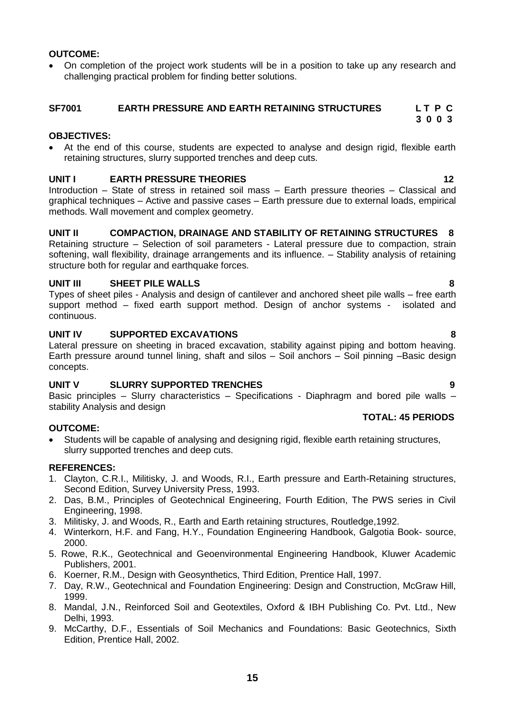### **OUTCOME:**

• On completion of the project work students will be in a position to take up any research and challenging practical problem for finding better solutions.

### <span id="page-14-0"></span>**SF7001 EARTH PRESSURE AND EARTH RETAINING STRUCTURES L T P C**

### **OBJECTIVES:**

 At the end of this course, students are expected to analyse and design rigid, flexible earth retaining structures, slurry supported trenches and deep cuts.

### **UNIT I** EARTH PRESSURE THEORIES **12**

Introduction – State of stress in retained soil mass – Earth pressure theories – Classical and graphical techniques – Active and passive cases – Earth pressure due to external loads, empirical methods. Wall movement and complex geometry.

### **UNIT II COMPACTION, DRAINAGE AND STABILITY OF RETAINING STRUCTURES 8**

Retaining structure – Selection of soil parameters - Lateral pressure due to compaction, strain softening, wall flexibility, drainage arrangements and its influence. – Stability analysis of retaining structure both for regular and earthquake forces.

### **UNIT III SHEET PILE WALLS 8**

Types of sheet piles - Analysis and design of cantilever and anchored sheet pile walls – free earth support method – fixed earth support method. Design of anchor systems - isolated and continuous.

### **UNIT IV SUPPORTED EXCAVATIONS 8**

Lateral pressure on sheeting in braced excavation, stability against piping and bottom heaving. Earth pressure around tunnel lining, shaft and silos – Soil anchors – Soil pinning –Basic design concepts.

### **UNIT V SLURRY SUPPORTED TRENCHES 9**

Basic principles – Slurry characteristics – Specifications - Diaphragm and bored pile walls – stability Analysis and design  **TOTAL: 45 PERIODS**

### **OUTCOME:**

 Students will be capable of analysing and designing rigid, flexible earth retaining structures, slurry supported trenches and deep cuts.

### **REFERENCES:**

- 1. Clayton, C.R.I., Militisky, J. and Woods, R.I., Earth pressure and Earth-Retaining structures, Second Edition, Survey University Press, 1993.
- 2. Das, B.M., Principles of Geotechnical Engineering, Fourth Edition, The PWS series in Civil Engineering, 1998.
- 3. Militisky, J. and Woods, R., Earth and Earth retaining structures, Routledge,1992.
- 4. Winterkorn, H.F. and Fang, H.Y., Foundation Engineering Handbook, Galgotia Book- source, 2000.
- 5. Rowe, R.K., Geotechnical and Geoenvironmental Engineering Handbook, Kluwer Academic Publishers, 2001.
- 6. Koerner, R.M., Design with Geosynthetics, Third Edition, Prentice Hall, 1997.
- 7. Day, R.W., Geotechnical and Foundation Engineering: Design and Construction, McGraw Hill, 1999.
- 8. Mandal, J.N., Reinforced Soil and Geotextiles, Oxford & IBH Publishing Co. Pvt. Ltd., New Delhi, 1993.
- 9. McCarthy, D.F., Essentials of Soil Mechanics and Foundations: Basic Geotechnics, Sixth Edition, Prentice Hall, 2002.

 **3 0 0 3**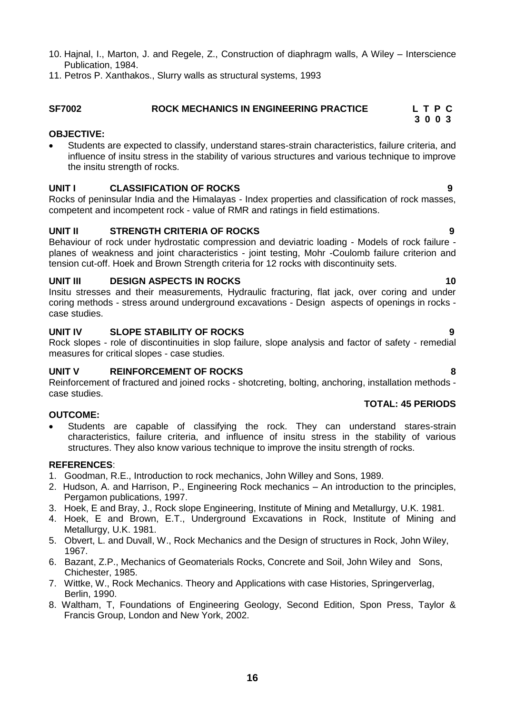- 10. Hajnal, I., Marton, J. and Regele, Z., Construction of diaphragm walls, A Wiley Interscience Publication, 1984.
- 11. Petros P. Xanthakos., Slurry walls as structural systems, 1993

### <span id="page-15-0"></span> ROCK MECHANICS IN ENGINEERING PRACTICE L T P C  **3 0 0 3**

### **OBJECTIVE:**

 Students are expected to classify, understand stares-strain characteristics, failure criteria, and influence of insitu stress in the stability of various structures and various technique to improve the insitu strength of rocks.

### **UNIT I CLASSIFICATION OF ROCKS 9**

Rocks of peninsular India and the Himalayas - Index properties and classification of rock masses, competent and incompetent rock - value of RMR and ratings in field estimations.

### **UNIT II STRENGTH CRITERIA OF ROCKS 9**

Behaviour of rock under hydrostatic compression and deviatric loading - Models of rock failure planes of weakness and joint characteristics - joint testing, Mohr -Coulomb failure criterion and tension cut-off. Hoek and Brown Strength criteria for 12 rocks with discontinuity sets.

### **UNIT III** DESIGN ASPECTS IN ROCKS 10

Insitu stresses and their measurements, Hydraulic fracturing, flat jack, over coring and under coring methods - stress around underground excavations - Design aspects of openings in rocks case studies.

### **UNIT IV SLOPE STABILITY OF ROCKS 9**

Rock slopes - role of discontinuities in slop failure, slope analysis and factor of safety - remedial measures for critical slopes - case studies.

### **UNIT V REINFORCEMENT OF ROCKS 8**

Reinforcement of fractured and joined rocks - shotcreting, bolting, anchoring, installation methods case studies.

### **OUTCOME:**

 Students are capable of classifying the rock. They can understand stares-strain characteristics, failure criteria, and influence of insitu stress in the stability of various structures. They also know various technique to improve the insitu strength of rocks.

### **REFERENCES**:

- 1. Goodman, R.E., Introduction to rock mechanics, John Willey and Sons, 1989.
- 2. Hudson, A. and Harrison, P., Engineering Rock mechanics An introduction to the principles, Pergamon publications, 1997.
- 3. Hoek, E and Bray, J., Rock slope Engineering, Institute of Mining and Metallurgy, U.K. 1981.
- 4. Hoek, E and Brown, E.T., Underground Excavations in Rock, Institute of Mining and Metallurgy, U.K. 1981.
- 5. Obvert, L. and Duvall, W., Rock Mechanics and the Design of structures in Rock, John Wiley, 1967.
- 6. Bazant, Z.P., Mechanics of Geomaterials Rocks, Concrete and Soil, John Wiley and Sons, Chichester, 1985.
- 7. Wittke, W., Rock Mechanics. Theory and Applications with case Histories, Springerverlag, Berlin, 1990.
- 8. Waltham, T, Foundations of Engineering Geology, Second Edition, Spon Press, Taylor & Francis Group, London and New York, 2002.

# **TOTAL: 45 PERIODS**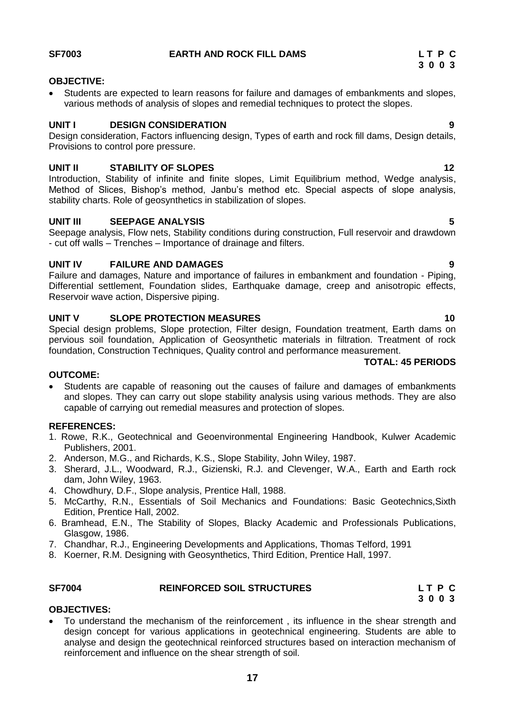### **OBJECTIVE:**

 Students are expected to learn reasons for failure and damages of embankments and slopes, various methods of analysis of slopes and remedial techniques to protect the slopes.

### **UNIT I** DESIGN CONSIDERATION 9

Design consideration, Factors influencing design, Types of earth and rock fill dams, Design details, Provisions to control pore pressure.

### **UNIT II** STABILITY OF SLOPES **12**

Introduction, Stability of infinite and finite slopes, Limit Equilibrium method, Wedge analysis, Method of Slices, Bishop's method, Janbu's method etc. Special aspects of slope analysis, stability charts. Role of geosynthetics in stabilization of slopes.

### **UNIT III SEEPAGE ANALYSIS 5**

Seepage analysis, Flow nets, Stability conditions during construction, Full reservoir and drawdown - cut off walls – Trenches – Importance of drainage and filters.

### **UNIT IV FAILURE AND DAMAGES 9**

Failure and damages, Nature and importance of failures in embankment and foundation - Piping, Differential settlement, Foundation slides, Earthquake damage, creep and anisotropic effects, Reservoir wave action, Dispersive piping.

### **UNIT V SLOPE PROTECTION MEASURES** 10

Special design problems, Slope protection, Filter design, Foundation treatment, Earth dams on pervious soil foundation, Application of Geosynthetic materials in filtration. Treatment of rock foundation, Construction Techniques, Quality control and performance measurement.

### **TOTAL: 45 PERIODS**

### **OUTCOME:**

 Students are capable of reasoning out the causes of failure and damages of embankments and slopes. They can carry out slope stability analysis using various methods. They are also capable of carrying out remedial measures and protection of slopes.

### **REFERENCES:**

- 1. Rowe, R.K., Geotechnical and Geoenvironmental Engineering Handbook, Kulwer Academic Publishers, 2001.
- 2. Anderson, M.G., and Richards, K.S., Slope Stability, John Wiley, 1987.
- 3. Sherard, J.L., Woodward, R.J., Gizienski, R.J. and Clevenger, W.A., Earth and Earth rock dam, John Wiley, 1963.
- 4. Chowdhury, D.F., Slope analysis, Prentice Hall, 1988.
- 5. McCarthy, R.N., Essentials of Soil Mechanics and Foundations: Basic Geotechnics,Sixth Edition, Prentice Hall, 2002.
- 6. Bramhead, E.N., The Stability of Slopes, Blacky Academic and Professionals Publications, Glasgow, 1986.
- 7. Chandhar, R.J., Engineering Developments and Applications, Thomas Telford, 1991
- 8. Koerner, R.M. Designing with Geosynthetics, Third Edition, Prentice Hall, 1997.

### <span id="page-16-0"></span>**SF7004 REINFORCED SOIL STRUCTURES L T P C**

 **3 0 0 3**

### **OBJECTIVES:**

 To understand the mechanism of the reinforcement , its influence in the shear strength and design concept for various applications in geotechnical engineering. Students are able to analyse and design the geotechnical reinforced structures based on interaction mechanism of reinforcement and influence on the shear strength of soil.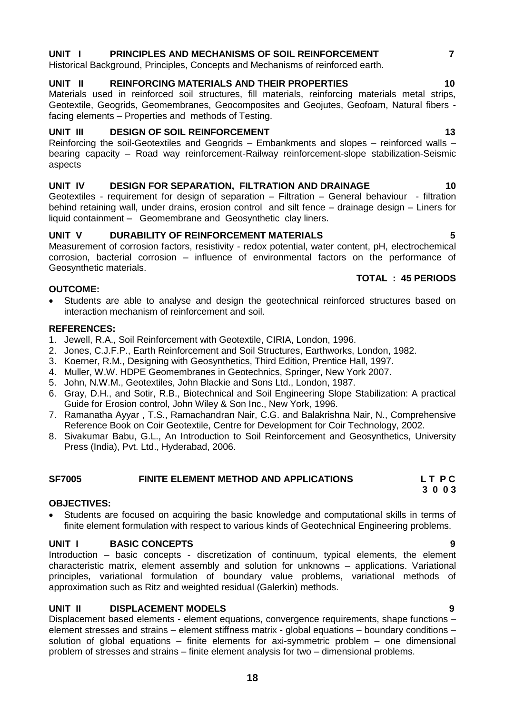## **UNIT I PRINCIPLES AND MECHANISMS OF SOIL REINFORCEMENT 7**

Historical Background, Principles, Concepts and Mechanisms of reinforced earth.

### **UNIT II REINFORCING MATERIALS AND THEIR PROPERTIES 10**

Materials used in reinforced soil structures, fill materials, reinforcing materials metal strips, Geotextile, Geogrids, Geomembranes, Geocomposites and Geojutes, Geofoam, Natural fibers facing elements – Properties and methods of Testing.

### **UNIT III** DESIGN OF SOIL REINFORCEMENT 13

Reinforcing the soil-Geotextiles and Geogrids – Embankments and slopes – reinforced walls – bearing capacity – Road way reinforcement-Railway reinforcement-slope stabilization-Seismic aspects

### **UNIT IV DESIGN FOR SEPARATION, FILTRATION AND DRAINAGE 10**

Geotextiles - requirement for design of separation – Filtration – General behaviour - filtration behind retaining wall, under drains, erosion control and silt fence – drainage design – Liners for liquid containment – Geomembrane and Geosynthetic clay liners.

### **UNIT V DURABILITY OF REINFORCEMENT MATERIALS 5**

Measurement of corrosion factors, resistivity - redox potential, water content, pH, electrochemical corrosion, bacterial corrosion – influence of environmental factors on the performance of Geosynthetic materials.

### **OUTCOME:**

 Students are able to analyse and design the geotechnical reinforced structures based on interaction mechanism of reinforcement and soil.

### **REFERENCES:**

- 1. Jewell, R.A., Soil Reinforcement with Geotextile, CIRIA, London, 1996.
- 2. Jones, C.J.F.P., Earth Reinforcement and Soil Structures, Earthworks, London, 1982.
- 3. Koerner, R.M., Designing with Geosynthetics, Third Edition, Prentice Hall, 1997.
- 4. Muller, W.W. HDPE Geomembranes in Geotechnics, Springer, New York 2007.
- 5. John, N.W.M., Geotextiles, John Blackie and Sons Ltd., London, 1987.
- 6. Gray, D.H., and Sotir, R.B., Biotechnical and Soil Engineering Slope Stabilization: A practical Guide for Erosion control, John Wiley & Son Inc., New York, 1996.
- 7. Ramanatha Ayyar , T.S., Ramachandran Nair, C.G. and Balakrishna Nair, N., Comprehensive Reference Book on Coir Geotextile, Centre for Development for Coir Technology, 2002.
- 8. Sivakumar Babu, G.L., An Introduction to Soil Reinforcement and Geosynthetics, University Press (India), Pvt. Ltd., Hyderabad, 2006.

### <span id="page-17-0"></span>**SF7005 FINITE ELEMENT METHOD AND APPLICATIONS L T P C**

### **OBJECTIVES:**

 Students are focused on acquiring the basic knowledge and computational skills in terms of finite element formulation with respect to various kinds of Geotechnical Engineering problems.

 **3 0 0 3**

### **UNIT I BASIC CONCEPTS 9**

Introduction – basic concepts - discretization of continuum, typical elements, the element characteristic matrix, element assembly and solution for unknowns – applications. Variational principles, variational formulation of boundary value problems, variational methods of approximation such as Ritz and weighted residual (Galerkin) methods.

### **UNIT II DISPLACEMENT MODELS 9**

Displacement based elements - element equations, convergence requirements, shape functions – element stresses and strains – element stiffness matrix - global equations – boundary conditions – solution of global equations – finite elements for axi-symmetric problem – one dimensional problem of stresses and strains – finite element analysis for two – dimensional problems.

### **TOTAL : 45 PERIODS**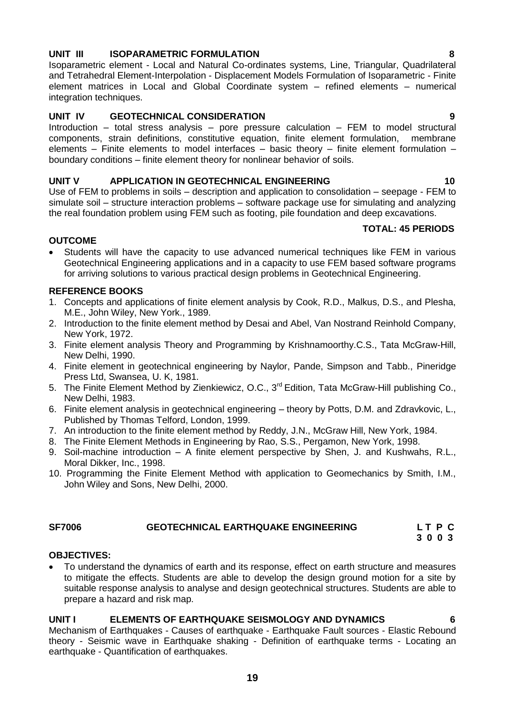# **UNIT III ISOPARAMETRIC FORMULATION 8**

Isoparametric element - Local and Natural Co-ordinates systems, Line, Triangular, Quadrilateral and Tetrahedral Element-Interpolation - Displacement Models Formulation of Isoparametric - Finite element matrices in Local and Global Coordinate system – refined elements – numerical integration techniques.

### **UNIT IV GEOTECHNICAL CONSIDERATION 9**

Introduction – total stress analysis – pore pressure calculation – FEM to model structural components, strain definitions, constitutive equation, finite element formulation, membrane elements – Finite elements to model interfaces – basic theory – finite element formulation – boundary conditions – finite element theory for nonlinear behavior of soils.

### **UNIT V APPLICATION IN GEOTECHNICAL ENGINEERING 10**

Use of FEM to problems in soils – description and application to consolidation – seepage - FEM to simulate soil – structure interaction problems – software package use for simulating and analyzing the real foundation problem using FEM such as footing, pile foundation and deep excavations.

### **TOTAL: 45 PERIODS**

### **OUTCOME**

 Students will have the capacity to use advanced numerical techniques like FEM in various Geotechnical Engineering applications and in a capacity to use FEM based software programs for arriving solutions to various practical design problems in Geotechnical Engineering.

### **REFERENCE BOOKS**

- 1. Concepts and applications of finite element analysis by Cook, R.D., Malkus, D.S., and Plesha, M.E., John Wiley, New York., 1989.
- 2. Introduction to the finite element method by Desai and Abel, Van Nostrand Reinhold Company, New York, 1972.
- 3. Finite element analysis Theory and Programming by Krishnamoorthy.C.S., Tata McGraw-Hill, New Delhi, 1990.
- 4. Finite element in geotechnical engineering by Naylor, Pande, Simpson and Tabb., Pineridge Press Ltd, Swansea, U. K, 1981.
- 5. The Finite Element Method by Zienkiewicz, O.C., 3<sup>rd</sup> Edition, Tata McGraw-Hill publishing Co., New Delhi, 1983.
- 6. Finite element analysis in geotechnical engineering theory by Potts, D.M. and Zdravkovic, L., Published by Thomas Telford, London, 1999.
- 7. An introduction to the finite element method by Reddy, J.N., McGraw Hill, New York, 1984.
- 8. The Finite Element Methods in Engineering by Rao, S.S., Pergamon, New York, 1998.
- 9. Soil-machine introduction A finite element perspective by Shen, J. and Kushwahs, R.L., Moral Dikker, Inc., 1998.
- 10. Programming the Finite Element Method with application to Geomechanics by Smith, I.M., John Wiley and Sons, New Delhi, 2000.

### **SF7006 GEOTECHNICAL EARTHQUAKE ENGINEERING L T P C**

### <span id="page-18-0"></span> **3 0 0 3**

### **OBJECTIVES:**

 To understand the dynamics of earth and its response, effect on earth structure and measures to mitigate the effects. Students are able to develop the design ground motion for a site by suitable response analysis to analyse and design geotechnical structures. Students are able to prepare a hazard and risk map.

### **UNIT I ELEMENTS OF EARTHQUAKE SEISMOLOGY AND DYNAMICS 6**

Mechanism of Earthquakes - Causes of earthquake - Earthquake Fault sources - Elastic Rebound theory - Seismic wave in Earthquake shaking - Definition of earthquake terms - Locating an earthquake - Quantification of earthquakes.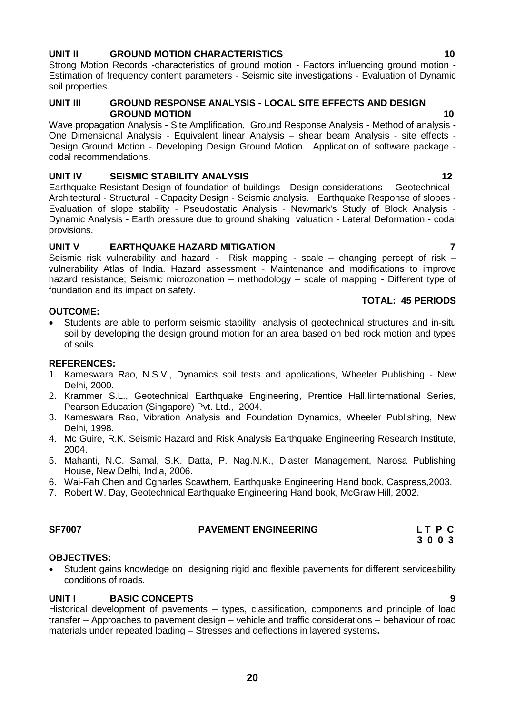### **UNIT II GROUND MOTION CHARACTERISTICS 10**

Strong Motion Records -characteristics of ground motion - Factors influencing ground motion - Estimation of frequency content parameters - Seismic site investigations - Evaluation of Dynamic soil properties.

### **UNIT III GROUND RESPONSE ANALYSIS - LOCAL SITE EFFECTS AND DESIGN GROUND MOTION 10**

Wave propagation Analysis - Site Amplification, Ground Response Analysis - Method of analysis - One Dimensional Analysis - Equivalent linear Analysis – shear beam Analysis - site effects - Design Ground Motion - Developing Design Ground Motion. Application of software package codal recommendations.

### **UNIT IV SEISMIC STABILITY ANALYSIS 12**

Earthquake Resistant Design of foundation of buildings - Design considerations - Geotechnical - Architectural - Structural - Capacity Design - Seismic analysis. Earthquake Response of slopes - Evaluation of slope stability - Pseudostatic Analysis - Newmark's Study of Block Analysis - Dynamic Analysis - Earth pressure due to ground shaking valuation - Lateral Deformation - codal provisions.

### **UNIT V EARTHQUAKE HAZARD MITIGATION 7**

Seismic risk vulnerability and hazard - Risk mapping - scale – changing percept of risk – vulnerability Atlas of India. Hazard assessment - Maintenance and modifications to improve hazard resistance; Seismic microzonation – methodology – scale of mapping - Different type of foundation and its impact on safety.

### **OUTCOME:**

 Students are able to perform seismic stability analysis of geotechnical structures and in-situ soil by developing the design ground motion for an area based on bed rock motion and types of soils.

### **REFERENCES:**

- 1. Kameswara Rao, N.S.V., Dynamics soil tests and applications, Wheeler Publishing New Delhi, 2000.
- 2. Krammer S.L., Geotechnical Earthquake Engineering, Prentice Hall,Iinternational Series, Pearson Education (Singapore) Pvt. Ltd., 2004.
- 3. Kameswara Rao, Vibration Analysis and Foundation Dynamics, Wheeler Publishing, New Delhi, 1998.
- 4. Mc Guire, R.K. Seismic Hazard and Risk Analysis Earthquake Engineering Research Institute, 2004.
- 5. Mahanti, N.C. Samal, S.K. Datta, P. Nag.N.K., Diaster Management, Narosa Publishing House, New Delhi, India, 2006.
- 6. Wai-Fah Chen and Cgharles Scawthem, Earthquake Engineering Hand book, Caspress,2003.
- 7. Robert W. Day, Geotechnical Earthquake Engineering Hand book, McGraw Hill, 2002.

### <span id="page-19-0"></span>SF7007 **PAVEMENT ENGINEERING** L T P C

### **OBJECTIVES:**

 Student gains knowledge on designing rigid and flexible pavements for different serviceability conditions of roads.

### **UNIT I BASIC CONCEPTS 9**

Historical development of pavements – types, classification, components and principle of load transfer – Approaches to pavement design – vehicle and traffic considerations – behaviour of road materials under repeated loading – Stresses and deflections in layered systems**.**

### **TOTAL: 45 PERIODS**

 **3 0 0 3**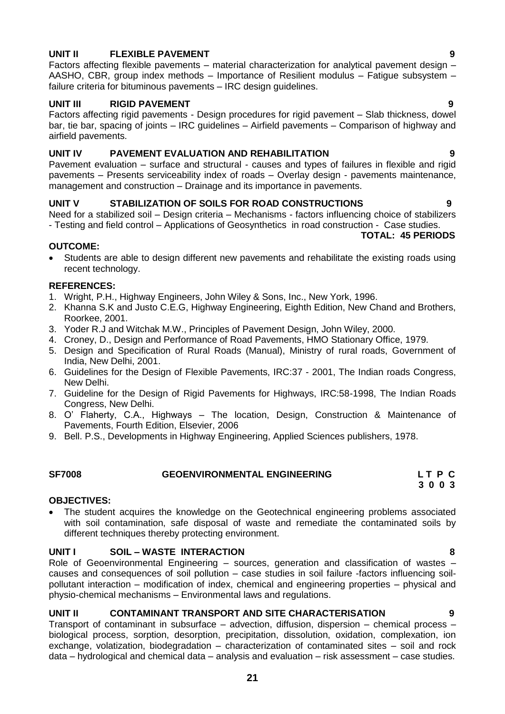# **UNIT II FLEXIBLE PAVEMENT 9**

Factors affecting flexible pavements – material characterization for analytical pavement design – AASHO, CBR, group index methods – Importance of Resilient modulus – Fatigue subsystem – failure criteria for bituminous pavements – IRC design guidelines.

### **UNIT III RIGID PAVEMENT 9**

Factors affecting rigid pavements - Design procedures for rigid pavement – Slab thickness, dowel bar, tie bar, spacing of joints – IRC guidelines – Airfield pavements – Comparison of highway and airfield pavements.

### **UNIT IV PAVEMENT EVALUATION AND REHABILITATION 9**

Pavement evaluation – surface and structural - causes and types of failures in flexible and rigid pavements – Presents serviceability index of roads – Overlay design - pavements maintenance, management and construction – Drainage and its importance in pavements.

### **UNIT V STABILIZATION OF SOILS FOR ROAD CONSTRUCTIONS 9**

Need for a stabilized soil – Design criteria – Mechanisms - factors influencing choice of stabilizers - Testing and field control – Applications of Geosynthetics in road construction - Case studies.

### **TOTAL: 45 PERIODS**

### **OUTCOME:**

 Students are able to design different new pavements and rehabilitate the existing roads using recent technology.

### **REFERENCES:**

- 1. Wright, P.H., Highway Engineers, John Wiley & Sons, Inc., New York, 1996.
- 2. Khanna S.K and Justo C.E.G, Highway Engineering, Eighth Edition, New Chand and Brothers, Roorkee, 2001.
- 3. Yoder R.J and Witchak M.W., Principles of Pavement Design, John Wiley, 2000.
- 4. Croney, D., Design and Performance of Road Pavements, HMO Stationary Office, 1979.
- 5. Design and Specification of Rural Roads (Manual), Ministry of rural roads, Government of India, New Delhi, 2001.
- 6. Guidelines for the Design of Flexible Pavements, IRC:37 2001, The Indian roads Congress, New Delhi.
- 7. Guideline for the Design of Rigid Pavements for Highways, IRC:58-1998, The Indian Roads Congress, New Delhi.
- 8. O' Flaherty, C.A., Highways The location, Design, Construction & Maintenance of Pavements, Fourth Edition, Elsevier, 2006
- 9. Bell. P.S., Developments in Highway Engineering, Applied Sciences publishers, 1978.

# <span id="page-20-0"></span>**SF7008 GEOENVIRONMENTAL ENGINEERING L T P C**

### **OBJECTIVES:**

 The student acquires the knowledge on the Geotechnical engineering problems associated with soil contamination, safe disposal of waste and remediate the contaminated soils by different techniques thereby protecting environment.

### **UNIT I SOIL – WASTE INTERACTION 8**

Role of Geoenvironmental Engineering – sources, generation and classification of wastes – causes and consequences of soil pollution – case studies in soil failure -factors influencing soilpollutant interaction – modification of index, chemical and engineering properties – physical and physio-chemical mechanisms – Environmental laws and regulations.

### **UNIT II CONTAMINANT TRANSPORT AND SITE CHARACTERISATION 9**

Transport of contaminant in subsurface – advection, diffusion, dispersion – chemical process – biological process, sorption, desorption, precipitation, dissolution, oxidation, complexation, ion exchange, volatization, biodegradation – characterization of contaminated sites – soil and rock data – hydrological and chemical data – analysis and evaluation – risk assessment – case studies.

 **3 0 0 3**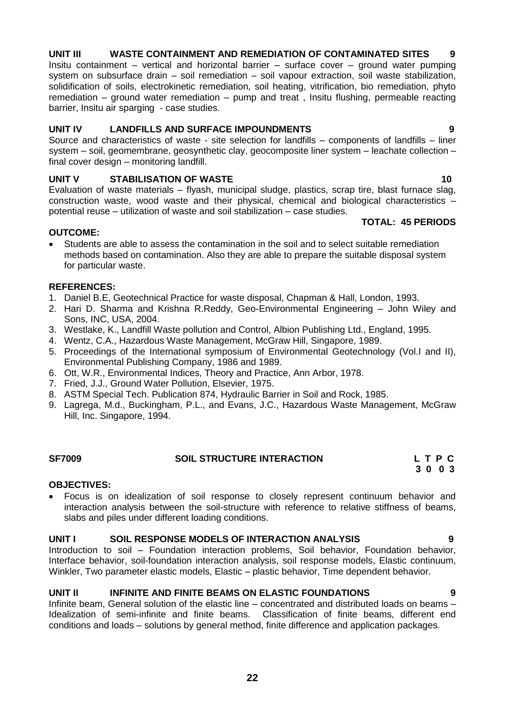# **UNIT III WASTE CONTAINMENT AND REMEDIATION OF CONTAMINATED SITES 9**

Insitu containment – vertical and horizontal barrier – surface cover – ground water pumping system on subsurface drain – soil remediation – soil vapour extraction, soil waste stabilization, solidification of soils, electrokinetic remediation, soil heating, vitrification, bio remediation, phyto remediation – ground water remediation – pump and treat , Insitu flushing, permeable reacting barrier, Insitu air sparging - case studies.

### **UNIT IV LANDFILLS AND SURFACE IMPOUNDMENTS 9**

Source and characteristics of waste - site selection for landfills – components of landfills – liner system – soil, geomembrane, geosynthetic clay, geocomposite liner system – leachate collection – final cover design – monitoring landfill.

### **UNIT V STABILISATION OF WASTE** 2002 2003 2004 2005 2006 2007 2008 2009 2006 2007 2008 2009 2008 2009 2008 200

Evaluation of waste materials – flyash, municipal sludge, plastics, scrap tire, blast furnace slag, construction waste, wood waste and their physical, chemical and biological characteristics – potential reuse – utilization of waste and soil stabilization – case studies. **TOTAL: 45 PERIODS**

### **OUTCOME:**

 Students are able to assess the contamination in the soil and to select suitable remediation methods based on contamination. Also they are able to prepare the suitable disposal system for particular waste.

### **REFERENCES:**

- 1. Daniel B.E, Geotechnical Practice for waste disposal, Chapman & Hall, London, 1993.
- 2. Hari D. Sharma and Krishna R.Reddy, Geo-Environmental Engineering John Wiley and Sons, INC, USA, 2004.
- 3. Westlake, K., Landfill Waste pollution and Control, Albion Publishing Ltd., England, 1995.
- 4. Wentz, C.A., Hazardous Waste Management, McGraw Hill, Singapore, 1989.
- 5. Proceedings of the International symposium of Environmental Geotechnology (Vol.I and II), Environmental Publishing Company, 1986 and 1989.
- 6. Ott, W.R., Environmental Indices, Theory and Practice, Ann Arbor, 1978.
- 7. Fried, J.J., Ground Water Pollution, Elsevier, 1975.
- 8. ASTM Special Tech. Publication 874, Hydraulic Barrier in Soil and Rock, 1985.
- 9. Lagrega, M.d., Buckingham, P.L., and Evans, J.C., Hazardous Waste Management, McGraw Hill, Inc. Singapore, 1994.

<span id="page-21-0"></span>

| <b>SF7009</b> | <b>SOIL STRUCTURE INTERACTION</b> | LTPC |
|---------------|-----------------------------------|------|
|               |                                   | 3003 |

### **OBJECTIVES:**

 Focus is on idealization of soil response to closely represent continuum behavior and interaction analysis between the soil-structure with reference to relative stiffness of beams, slabs and piles under different loading conditions.

### **UNIT I SOIL RESPONSE MODELS OF INTERACTION ANALYSIS 9**

Introduction to soil – Foundation interaction problems, Soil behavior, Foundation behavior, Interface behavior, soil-foundation interaction analysis, soil response models, Elastic continuum, Winkler, Two parameter elastic models, Elastic – plastic behavior, Time dependent behavior.

### **UNIT II INFINITE AND FINITE BEAMS ON ELASTIC FOUNDATIONS 9**

Infinite beam, General solution of the elastic line – concentrated and distributed loads on beams – Idealization of semi-infinite and finite beams. Classification of finite beams, different end conditions and loads – solutions by general method, finite difference and application packages.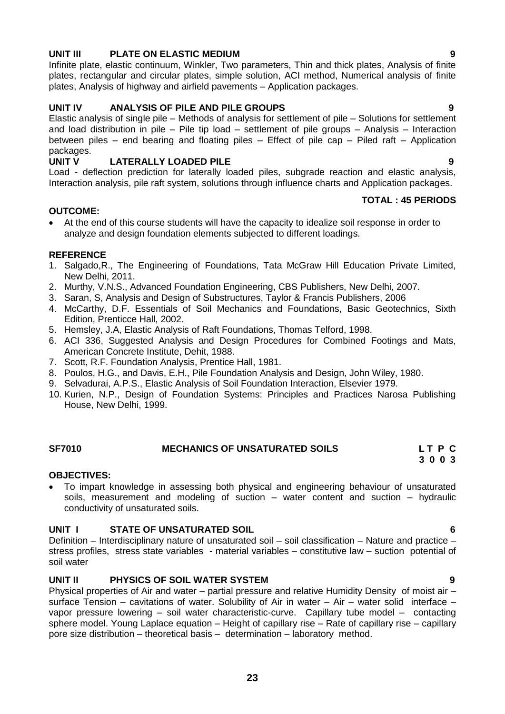### **UNIT III PLATE ON ELASTIC MEDIUM 9**

Infinite plate, elastic continuum, Winkler, Two parameters, Thin and thick plates, Analysis of finite plates, rectangular and circular plates, simple solution, ACI method, Numerical analysis of finite plates, Analysis of highway and airfield pavements – Application packages.

### **UNIT IV ANALYSIS OF PILE AND PILE GROUPS 9**

Elastic analysis of single pile – Methods of analysis for settlement of pile – Solutions for settlement and load distribution in pile – Pile tip load – settlement of pile groups – Analysis – Interaction between piles – end bearing and floating piles – Effect of pile cap – Piled raft – Application packages.<br>UNIT V

### **LATERALLY LOADED PILE 1999**

Load - deflection prediction for laterally loaded piles, subgrade reaction and elastic analysis, Interaction analysis, pile raft system, solutions through influence charts and Application packages.

### **TOTAL : 45 PERIODS**

### **OUTCOME:**

 At the end of this course students will have the capacity to idealize soil response in order to analyze and design foundation elements subjected to different loadings.

### **REFERENCE**

- 1. Salgado,R., The Engineering of Foundations, Tata McGraw Hill Education Private Limited, New Delhi, 2011.
- 2. Murthy, V.N.S., Advanced Foundation Engineering, CBS Publishers, New Delhi, 2007.
- 3. Saran, S, Analysis and Design of Substructures, Taylor & Francis Publishers, 2006
- 4. McCarthy, D.F. Essentials of Soil Mechanics and Foundations, Basic Geotechnics, Sixth Edition, Prenticce Hall, 2002.
- 5. Hemsley, J.A, Elastic Analysis of Raft Foundations, Thomas Telford, 1998.
- 6. ACI 336, Suggested Analysis and Design Procedures for Combined Footings and Mats, American Concrete Institute, Dehit, 1988.
- 7. Scott, R.F. Foundation Analysis, Prentice Hall, 1981.
- 8. Poulos, H.G., and Davis, E.H., Pile Foundation Analysis and Design, John Wiley, 1980.
- 9. Selvadurai, A.P.S., Elastic Analysis of Soil Foundation Interaction, Elsevier 1979.
- 10. Kurien, N.P., Design of Foundation Systems: Principles and Practices Narosa Publishing House, New Delhi, 1999.

### <span id="page-22-0"></span> **SF7010 MECHANICS OF UNSATURATED SOILS L T P C 3 0 0 3**

### **OBJECTIVES:**

 To impart knowledge in assessing both physical and engineering behaviour of unsaturated soils, measurement and modeling of suction – water content and suction – hydraulic conductivity of unsaturated soils.

### **UNIT I STATE OF UNSATURATED SOIL 6**

Definition – Interdisciplinary nature of unsaturated soil – soil classification – Nature and practice – stress profiles, stress state variables - material variables – constitutive law – suction potential of soil water

### **UNIT II PHYSICS OF SOIL WATER SYSTEM 9**

Physical properties of Air and water – partial pressure and relative Humidity Density of moist air – surface Tension – cavitations of water. Solubility of Air in water – Air – water solid interface – vapor pressure lowering – soil water characteristic-curve. Capillary tube model – contacting sphere model. Young Laplace equation – Height of capillary rise – Rate of capillary rise – capillary pore size distribution – theoretical basis – determination – laboratory method.